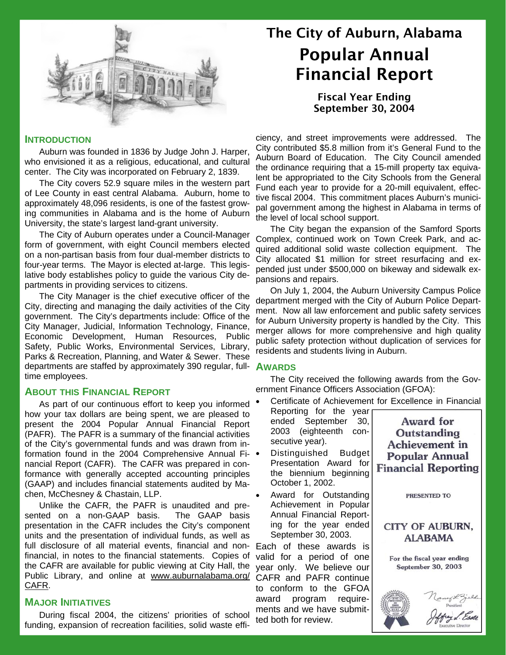

#### **INTRODUCTION**

Auburn was founded in 1836 by Judge John J. Harper, who envisioned it as a religious, educational, and cultural center. The City was incorporated on February 2, 1839.

The City covers 52.9 square miles in the western part of Lee County in east central Alabama. Auburn, home to approximately 48,096 residents, is one of the fastest growing communities in Alabama and is the home of Auburn University, the state's largest land-grant university.

The City of Auburn operates under a Council-Manager form of government, with eight Council members elected on a non-partisan basis from four dual-member districts to four-year terms. The Mayor is elected at-large. This legislative body establishes policy to guide the various City departments in providing services to citizens.

The City Manager is the chief executive officer of the City, directing and managing the daily activities of the City government. The City's departments include: Office of the City Manager, Judicial, Information Technology, Finance, Economic Development, Human Resources, Public Safety, Public Works, Environmental Services, Library, Parks & Recreation, Planning, and Water & Sewer. These departments are staffed by approximately 390 regular, fulltime employees.

### **ABOUT THIS FINANCIAL REPORT**

As part of our continuous effort to keep you informed  $\bullet$ how your tax dollars are being spent, we are pleased to present the 2004 Popular Annual Financial Report (PAFR). The PAFR is a summary of the financial activities of the City's governmental funds and was drawn from information found in the 2004 Comprehensive Annual Financial Report (CAFR). The CAFR was prepared in conformance with generally accepted accounting principles (GAAP) and includes financial statements audited by Machen, McChesney & Chastain, LLP.

Unlike the CAFR, the PAFR is unaudited and presented on a non-GAAP basis. The GAAP basis presentation in the CAFR includes the City's component units and the presentation of individual funds, as well as full disclosure of all material events, financial and non-Each of these awards is financial, in notes to the financial statements. Copies of the CAFR are available for public viewing at City Hall, the Public Library, and online at www.auburnalabama.org/ CAFR.

#### **MAJOR INITIATIVES**

During fiscal 2004, the citizens' priorities of school funding, expansion of recreation facilities, solid waste effi-

# The City of Auburn, Alabama Popular Annual Financial Report

Fiscal Year Ending September 30, 2004

ciency, and street improvements were addressed. The City contributed \$5.8 million from it's General Fund to the Auburn Board of Education. The City Council amended the ordinance requiring that a 15-mill property tax equivalent be appropriated to the City Schools from the General Fund each year to provide for a 20-mill equivalent, effective fiscal 2004. This commitment places Auburn's municipal government among the highest in Alabama in terms of the level of local school support.

The City began the expansion of the Samford Sports Complex, continued work on Town Creek Park, and acquired additional solid waste collection equipment. The City allocated \$1 million for street resurfacing and expended just under \$500,000 on bikeway and sidewalk expansions and repairs.

On July 1, 2004, the Auburn University Campus Police department merged with the City of Auburn Police Department. Now all law enforcement and public safety services for Auburn University property is handled by the City. This merger allows for more comprehensive and high quality public safety protection without duplication of services for residents and students living in Auburn.

#### **AWARDS**

The City received the following awards from the Government Finance Officers Association (GFOA):

• Certificate of Achievement for Excellence in Financial

| Reporting for the year<br>ended September 30,<br>2003 (eighteenth con-<br>secutive year).<br>Distinguished Budget<br>Presentation Award for<br>the biennium beginning<br>October 1, 2002. | <b>Award for</b><br>Outstanding<br><b>Achievement</b> in<br><b>Popular Annual</b><br><b>Financial Reporting</b> |
|-------------------------------------------------------------------------------------------------------------------------------------------------------------------------------------------|-----------------------------------------------------------------------------------------------------------------|
| Award for Outstanding<br>Achievement in Popular<br>Annual Financial Report-<br>ing for the year ended                                                                                     | <b>PRESENTED TO</b><br><b>CITY OF AUBURN,</b>                                                                   |
| September 30, 2003.<br>Each of these awards is                                                                                                                                            | <b>ALABAMA</b>                                                                                                  |
| valid for a period of one<br>year only. We believe our<br>CAFR and PAFR continue                                                                                                          | For the fiscal year ending<br>September 30, 2003                                                                |
| to conform to the GFOA<br>award program require-<br>ments and we have submit-<br>ted both for review.                                                                                     |                                                                                                                 |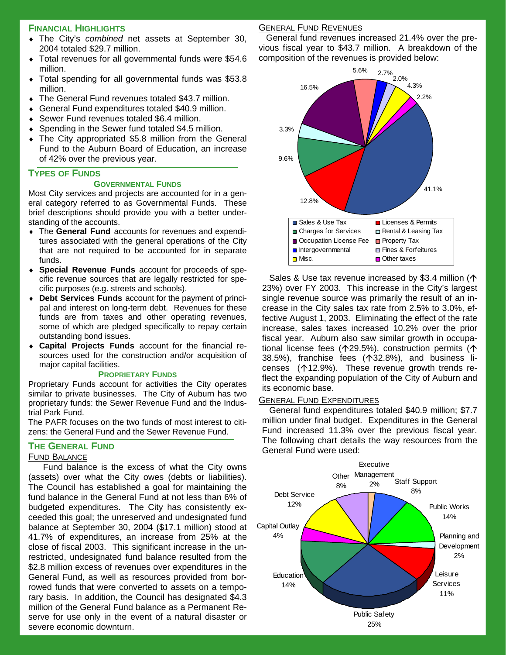#### **FINANCIAL HIGHLIGHTS**

- ♦ The City's *combined* net assets at September 30, 2004 totaled \$29.7 million.
- Total revenues for all governmental funds were \$54.6 million.
- Total spending for all governmental funds was \$53.8 million.
- ♦ The General Fund revenues totaled \$43.7 million.
- General Fund expenditures totaled \$40.9 million.
- Sewer Fund revenues totaled \$6.4 million.
- Spending in the Sewer fund totaled \$4.5 million.
- The City appropriated \$5.8 million from the General Fund to the Auburn Board of Education, an increase of 42% over the previous year.

#### **TYPES OF FUNDS**

#### **GOVERNMENTAL FUNDS**

Most City services and projects are accounted for in a general category referred to as Governmental Funds. These brief descriptions should provide you with a better understanding of the accounts.

- ♦ The **General Fund** accounts for revenues and expenditures associated with the general operations of the City that are not required to be accounted for in separate funds.
- ♦ **Special Revenue Funds** account for proceeds of specific revenue sources that are legally restricted for specific purposes (e.g. streets and schools).
- ♦ **Debt Services Funds** account for the payment of principal and interest on long-term debt. Revenues for these funds are from taxes and other operating revenues, some of which are pledged specifically to repay certain outstanding bond issues.
- ♦ **Capital Projects Funds** account for the financial resources used for the construction and/or acquisition of major capital facilities.

#### **PROPRIETARY FUNDS**

Proprietary Funds account for activities the City operates similar to private businesses. The City of Auburn has two proprietary funds: the Sewer Revenue Fund and the Industrial Park Fund.

The PAFR focuses on the two funds of most interest to citizens: the General Fund and the Sewer Revenue Fund.

#### **THE GENERAL FUND**

#### FUND BALANCE

Fund balance is the excess of what the City owns (assets) over what the City owes (debts or liabilities). The Council has established a goal for maintaining the fund balance in the General Fund at not less than 6% of budgeted expenditures. The City has consistently exceeded this goal; the unreserved and undesignated fund balance at September 30, 2004 (\$17.1 million) stood at 41.7% of expenditures, an increase from 25% at the close of fiscal 2003. This significant increase in the unrestricted, undesignated fund balance resulted from the \$2.8 million excess of revenues over expenditures in the General Fund, as well as resources provided from borrowed funds that were converted to assets on a temporary basis. In addition, the Council has designated \$4.3 million of the General Fund balance as a Permanent Reserve for use only in the event of a natural disaster or severe economic downturn.

#### GENERAL FUND REVENUES

General fund revenues increased 21.4% over the previous fiscal year to \$43.7 million. A breakdown of the composition of the revenues is provided below:



Sales & Use tax revenue increased by \$3.4 million ( $\uparrow$ 23%) over FY 2003. This increase in the City's largest single revenue source was primarily the result of an increase in the City sales tax rate from 2.5% to 3.0%, effective August 1, 2003. Eliminating the effect of the rate increase, sales taxes increased 10.2% over the prior fiscal year. Auburn also saw similar growth in occupational license fees ( $\uparrow$ 29.5%), construction permits ( $\uparrow$ 38.5%), franchise fees  $($ 132.8%), and business licenses ( $\uparrow$ 12.9%). These revenue growth trends reflect the expanding population of the City of Auburn and its economic base.

#### GENERAL FUND EXPENDITURES

General fund expenditures totaled \$40.9 million; \$7.7 million under final budget. Expenditures in the General Fund increased 11.3% over the previous fiscal year. The following chart details the way resources from the General Fund were used:

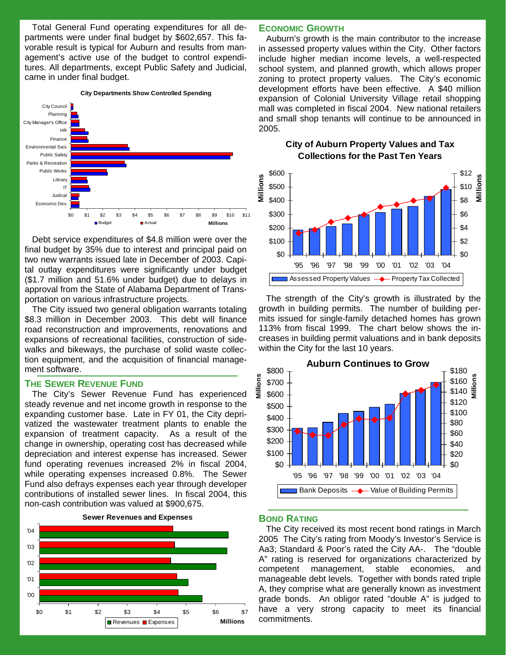Total General Fund operating expenditures for all departments were under final budget by \$602,657. This favorable result is typical for Auburn and results from management's active use of the budget to control expenditures. All departments, except Public Safety and Judicial, came in under final budget.



Debt service expenditures of \$4.8 million were over the final budget by 35% due to interest and principal paid on two new warrants issued late in December of 2003. Capital outlay expenditures were significantly under budget (\$1.7 million and 51.6% under budget) due to delays in approval from the State of Alabama Department of Transportation on various infrastructure projects.

The City issued two general obligation warrants totaling \$8.3 million in December 2003. This debt will finance road reconstruction and improvements, renovations and expansions of recreational facilities, construction of sidewalks and bikeways, the purchase of solid waste collection equipment, and the acquisition of financial management software.

#### **THE SEWER REVENUE FUND**

The City's Sewer Revenue Fund has experienced steady revenue and net income growth in response to the expanding customer base. Late in FY 01, the City deprivatized the wastewater treatment plants to enable the expansion of treatment capacity. As a result of the change in ownership, operating cost has decreased while depreciation and interest expense has increased. Sewer fund operating revenues increased 2% in fiscal 2004, while operating expenses increased 0.8%. The Sewer Fund also defrays expenses each year through developer contributions of installed sewer lines. In fiscal 2004, this non-cash contribution was valued at \$900,675.



#### **ECONOMIC GROWTH**

Auburn's growth is the main contributor to the increase in assessed property values within the City. Other factors include higher median income levels, a well-respected school system, and planned growth, which allows proper zoning to protect property values. The City's economic development efforts have been effective. A \$40 million expansion of Colonial University Village retail shopping mall was completed in fiscal 2004. New national retailers and small shop tenants will continue to be announced in 2005.

**City of Auburn Property Values and Tax Collections for the Past Ten Years**



The strength of the City's growth is illustrated by the growth in building permits. The number of building permits issued for single-family detached homes has grown 113% from fiscal 1999. The chart below shows the increases in building permit valuations and in bank deposits within the City for the last 10 years.



#### **BOND RATING**

The City received its most recent bond ratings in March 2005 The City's rating from Moody's Investor's Service is Aa3; Standard & Poor's rated the City AA-. The "double A" rating is reserved for organizations characterized by competent management, stable economies, and manageable debt levels. Together with bonds rated triple A, they comprise what are generally known as investment grade bonds. An obligor rated "double A" is judged to have a very strong capacity to meet its financial commitments.